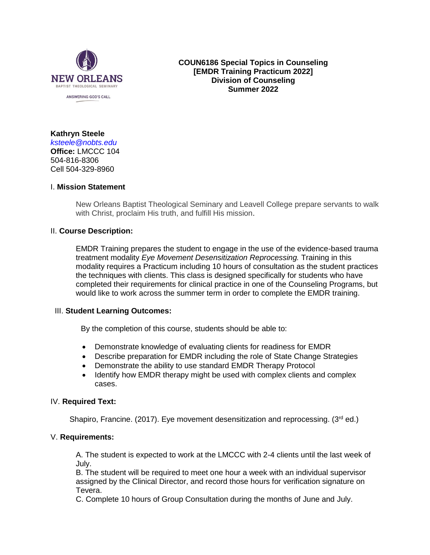

**COUN6186 Special Topics in Counseling [EMDR Training Practicum 2022] Division of Counseling Summer 2022**

**Kathryn Steele** *[ksteele@nobts.edu](mailto:ksteele@nobts.edu)* **Office:** LMCCC 104 504-816-8306 Cell 504-329-8960

#### I. **Mission Statement**

New Orleans Baptist Theological Seminary and Leavell College prepare servants to walk with Christ, proclaim His truth, and fulfill His mission.

## II. **Course Description:**

EMDR Training prepares the student to engage in the use of the evidence-based trauma treatment modality *Eye Movement Desensitization Reprocessing.* Training in this modality requires a Practicum including 10 hours of consultation as the student practices the techniques with clients. This class is designed specifically for students who have completed their requirements for clinical practice in one of the Counseling Programs, but would like to work across the summer term in order to complete the EMDR training.

#### III. **Student Learning Outcomes:**

By the completion of this course, students should be able to:

- Demonstrate knowledge of evaluating clients for readiness for EMDR
- Describe preparation for EMDR including the role of State Change Strategies
- Demonstrate the ability to use standard EMDR Therapy Protocol
- Identify how EMDR therapy might be used with complex clients and complex cases.

## IV. **Required Text:**

Shapiro, Francine. (2017). Eye movement desensitization and reprocessing. (3rd ed.)

#### V. **Requirements:**

A. The student is expected to work at the LMCCC with 2-4 clients until the last week of July.

B. The student will be required to meet one hour a week with an individual supervisor assigned by the Clinical Director, and record those hours for verification signature on Tevera.

C. Complete 10 hours of Group Consultation during the months of June and July.